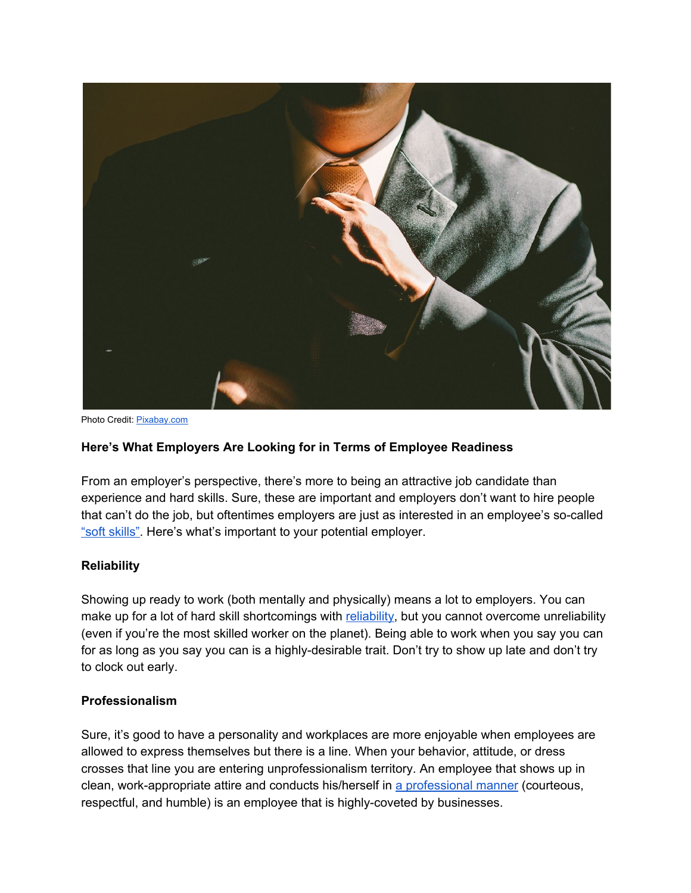

Photo Credit: [Pixabay.com](https://pixabay.com/en/tie-necktie-adjust-adjusting-man-690084/)

#### **Here's What Employers Are Looking for in Terms of Employee Readiness**

From an employer's perspective, there's more to being an attractive job candidate than experience and hard skills. Sure, these are important and employers don't want to hire people that can't do the job, but oftentimes employers are just as interested in an employee's so-called "soft [skills".](http://www.investopedia.com/terms/s/soft-skills.asp) Here's what's important to your potential employer.

#### **Reliability**

Showing up ready to work (both mentally and physically) means a lot to employers. You can make up for a lot of hard skill shortcomings with [reliability,](http://www.writechangegrow.com/2013/07/are-you-reliable-at-work/) but you cannot overcome unreliability (even if you're the most skilled worker on the planet). Being able to work when you say you can for as long as you say you can is a highly-desirable trait. Don't try to show up late and don't try to clock out early.

#### **Professionalism**

Sure, it's good to have a personality and workplaces are more enjoyable when employees are allowed to express themselves but there is a line. When your behavior, attitude, or dress crosses that line you are entering unprofessionalism territory. An employee that shows up in clean, work-appropriate attire and conducts his/herself in a [professional](https://www.livecareer.com/career-tips/career-advice/professionalism) manner (courteous, respectful, and humble) is an employee that is highly-coveted by businesses.